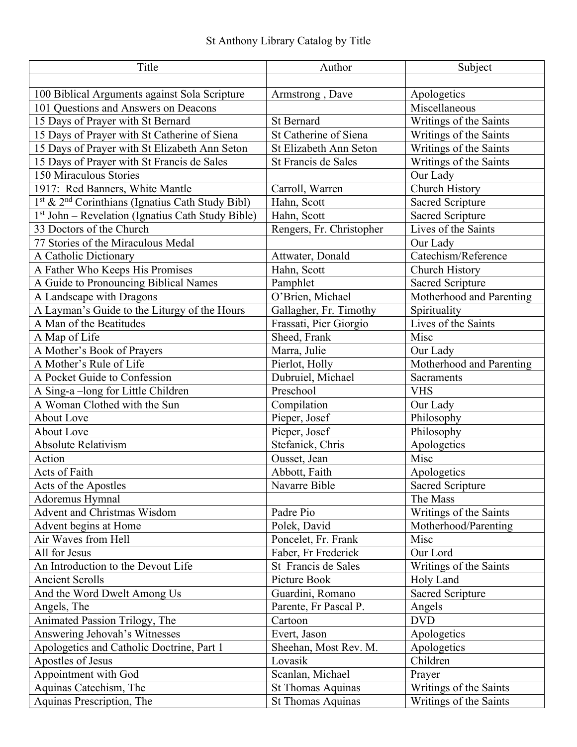| Title                                                        | Author                   | Subject                  |
|--------------------------------------------------------------|--------------------------|--------------------------|
|                                                              |                          |                          |
| 100 Biblical Arguments against Sola Scripture                | Armstrong, Dave          | Apologetics              |
| 101 Questions and Answers on Deacons                         |                          | Miscellaneous            |
| 15 Days of Prayer with St Bernard                            | <b>St Bernard</b>        | Writings of the Saints   |
| 15 Days of Prayer with St Catherine of Siena                 | St Catherine of Siena    | Writings of the Saints   |
| 15 Days of Prayer with St Elizabeth Ann Seton                | St Elizabeth Ann Seton   | Writings of the Saints   |
| 15 Days of Prayer with St Francis de Sales                   | St Francis de Sales      | Writings of the Saints   |
| 150 Miraculous Stories                                       |                          | Our Lady                 |
| 1917: Red Banners, White Mantle                              | Carroll, Warren          | Church History           |
| 1st & 2 <sup>nd</sup> Corinthians (Ignatius Cath Study Bibl) | Hahn, Scott              | <b>Sacred Scripture</b>  |
| 1st John - Revelation (Ignatius Cath Study Bible)            | Hahn, Scott              | <b>Sacred Scripture</b>  |
| 33 Doctors of the Church                                     | Rengers, Fr. Christopher | Lives of the Saints      |
| 77 Stories of the Miraculous Medal                           |                          | Our Lady                 |
| A Catholic Dictionary                                        | Attwater, Donald         | Catechism/Reference      |
| A Father Who Keeps His Promises                              | Hahn, Scott              | Church History           |
| A Guide to Pronouncing Biblical Names                        | Pamphlet                 | <b>Sacred Scripture</b>  |
| A Landscape with Dragons                                     | O'Brien, Michael         | Motherhood and Parenting |
| A Layman's Guide to the Liturgy of the Hours                 | Gallagher, Fr. Timothy   | Spirituality             |
| A Man of the Beatitudes                                      | Frassati, Pier Giorgio   | Lives of the Saints      |
| A Map of Life                                                | Sheed, Frank             | Misc                     |
| A Mother's Book of Prayers                                   | Marra, Julie             | Our Lady                 |
| A Mother's Rule of Life                                      | Pierlot, Holly           | Motherhood and Parenting |
| A Pocket Guide to Confession                                 | Dubruiel, Michael        | Sacraments               |
| A Sing-a-long for Little Children                            | Preschool                | <b>VHS</b>               |
| A Woman Clothed with the Sun                                 | Compilation              | Our Lady                 |
| <b>About Love</b>                                            | Pieper, Josef            | Philosophy               |
| <b>About Love</b>                                            | Pieper, Josef            | Philosophy               |
| Absolute Relativism                                          | Stefanick, Chris         | Apologetics              |
| Action                                                       | Ousset, Jean             | Misc                     |
| Acts of Faith                                                | Abbott, Faith            | Apologetics              |
| Acts of the Apostles                                         | Navarre Bible            | <b>Sacred Scripture</b>  |
| Adoremus Hymnal                                              |                          | The Mass                 |
| <b>Advent and Christmas Wisdom</b>                           | Padre Pio                | Writings of the Saints   |
| Advent begins at Home                                        | Polek, David             | Motherhood/Parenting     |
| Air Waves from Hell                                          | Poncelet, Fr. Frank      | Misc                     |
| All for Jesus                                                | Faber, Fr Frederick      | Our Lord                 |
| An Introduction to the Devout Life                           | St Francis de Sales      | Writings of the Saints   |
| <b>Ancient Scrolls</b>                                       | Picture Book             | Holy Land                |
| And the Word Dwelt Among Us                                  | Guardini, Romano         | <b>Sacred Scripture</b>  |
| Angels, The                                                  | Parente, Fr Pascal P.    | Angels                   |
| Animated Passion Trilogy, The                                | Cartoon                  | <b>DVD</b>               |
| Answering Jehovah's Witnesses                                | Evert, Jason             | Apologetics              |
| Apologetics and Catholic Doctrine, Part 1                    | Sheehan, Most Rev. M.    | Apologetics              |
| Apostles of Jesus                                            | Lovasik                  | Children                 |
| Appointment with God                                         | Scanlan, Michael         | Prayer                   |
| Aquinas Catechism, The                                       | <b>St Thomas Aquinas</b> | Writings of the Saints   |
| Aquinas Prescription, The                                    | <b>St Thomas Aquinas</b> | Writings of the Saints   |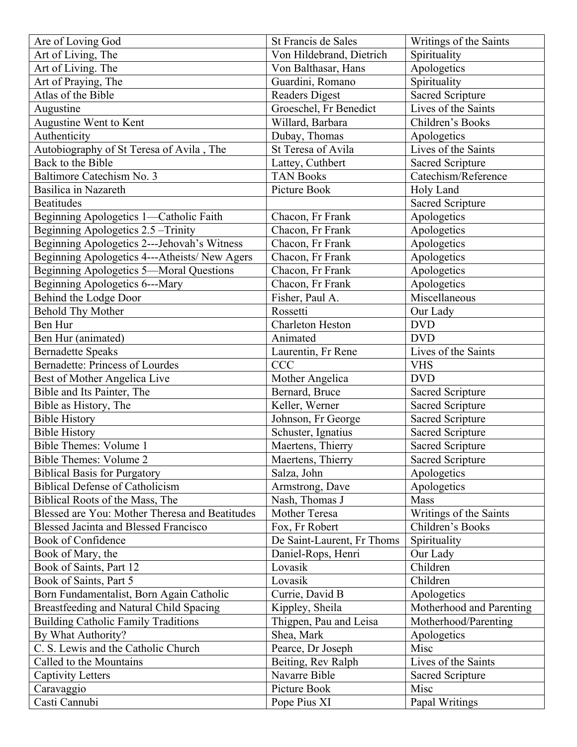| Are of Loving God                              | St Francis de Sales                      | Writings of the Saints   |
|------------------------------------------------|------------------------------------------|--------------------------|
| Art of Living, The                             | Von Hildebrand, Dietrich                 | Spirituality             |
| Art of Living. The                             | Von Balthasar, Hans                      | Apologetics              |
| Art of Praying, The                            | Guardini, Romano                         | Spirituality             |
| Atlas of the Bible                             | <b>Readers Digest</b>                    | <b>Sacred Scripture</b>  |
| Augustine                                      | Groeschel, Fr Benedict                   | Lives of the Saints      |
| Augustine Went to Kent                         | Willard, Barbara                         | Children's Books         |
| Authenticity                                   | Dubay, Thomas                            | Apologetics              |
| Autobiography of St Teresa of Avila, The       | St Teresa of Avila                       | Lives of the Saints      |
| Back to the Bible                              | Lattey, Cuthbert                         | <b>Sacred Scripture</b>  |
| Baltimore Catechism No. 3                      | <b>TAN Books</b>                         | Catechism/Reference      |
| Basilica in Nazareth                           | Picture Book                             | Holy Land                |
| <b>Beatitudes</b>                              |                                          | <b>Sacred Scripture</b>  |
| Beginning Apologetics 1-Catholic Faith         | Chacon, Fr Frank                         | Apologetics              |
| Beginning Apologetics 2.5 - Trinity            | Chacon, Fr Frank                         | Apologetics              |
| Beginning Apologetics 2---Jehovah's Witness    | Chacon, Fr Frank                         | Apologetics              |
| Beginning Apologetics 4---Atheists/ New Agers  | Chacon, Fr Frank                         | Apologetics              |
| <b>Beginning Apologetics 5-Moral Questions</b> | Chacon, Fr Frank                         | Apologetics              |
| Beginning Apologetics 6---Mary                 | Chacon, Fr Frank                         | Apologetics              |
| Behind the Lodge Door                          | Fisher, Paul A.                          | Miscellaneous            |
| <b>Behold Thy Mother</b>                       | Rossetti                                 | Our Lady                 |
| Ben Hur                                        | Charleton Heston                         | <b>DVD</b>               |
| Ben Hur (animated)                             | Animated                                 | <b>DVD</b>               |
| <b>Bernadette Speaks</b>                       | Laurentin, Fr Rene                       | Lives of the Saints      |
| <b>Bernadette: Princess of Lourdes</b>         | <b>CCC</b>                               | <b>VHS</b>               |
| Best of Mother Angelica Live                   | Mother Angelica                          | <b>DVD</b>               |
| Bible and Its Painter, The                     | Bernard, Bruce                           | <b>Sacred Scripture</b>  |
|                                                | Keller, Werner                           | <b>Sacred Scripture</b>  |
| Bible as History, The<br><b>Bible History</b>  |                                          | <b>Sacred Scripture</b>  |
|                                                | Johnson, Fr George<br>Schuster, Ignatius |                          |
| <b>Bible History</b>                           |                                          | <b>Sacred Scripture</b>  |
| Bible Themes: Volume 1                         | Maertens, Thierry                        | <b>Sacred Scripture</b>  |
| <b>Bible Themes: Volume 2</b>                  | Maertens, Thierry                        | Sacred Scripture         |
| <b>Biblical Basis for Purgatory</b>            | Salza, John                              | Apologetics              |
| <b>Biblical Defense of Catholicism</b>         | Armstrong, Dave                          | Apologetics              |
| Biblical Roots of the Mass, The                | Nash, Thomas J                           | Mass                     |
| Blessed are You: Mother Theresa and Beatitudes | Mother Teresa                            | Writings of the Saints   |
| <b>Blessed Jacinta and Blessed Francisco</b>   | Fox, Fr Robert                           | Children's Books         |
| Book of Confidence                             | De Saint-Laurent, Fr Thoms               | Spirituality             |
| Book of Mary, the                              | Daniel-Rops, Henri                       | Our Lady                 |
| Book of Saints, Part 12                        | Lovasik                                  | Children                 |
| Book of Saints, Part 5                         | Lovasik                                  | Children                 |
| Born Fundamentalist, Born Again Catholic       | Currie, David B                          | Apologetics              |
| Breastfeeding and Natural Child Spacing        | Kippley, Sheila                          | Motherhood and Parenting |
| <b>Building Catholic Family Traditions</b>     | Thigpen, Pau and Leisa                   | Motherhood/Parenting     |
| By What Authority?                             | Shea, Mark                               | Apologetics              |
| C. S. Lewis and the Catholic Church            | Pearce, Dr Joseph                        | Misc                     |
| Called to the Mountains                        | Beiting, Rev Ralph                       | Lives of the Saints      |
| Captivity Letters                              | Navarre Bible                            | <b>Sacred Scripture</b>  |
| Caravaggio                                     | Picture Book                             | Misc                     |
| Casti Cannubi                                  | Pope Pius XI                             | Papal Writings           |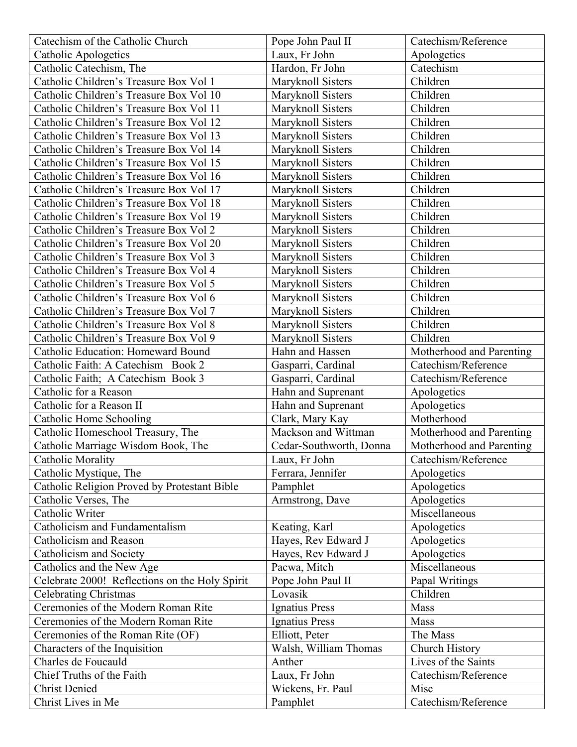| Catechism of the Catholic Church               | Pope John Paul II       | Catechism/Reference      |
|------------------------------------------------|-------------------------|--------------------------|
| <b>Catholic Apologetics</b>                    | Laux, Fr John           | Apologetics              |
| Catholic Catechism, The                        | Hardon, Fr John         | Catechism                |
| Catholic Children's Treasure Box Vol 1         | Maryknoll Sisters       | Children                 |
| Catholic Children's Treasure Box Vol 10        | Maryknoll Sisters       | Children                 |
| Catholic Children's Treasure Box Vol 11        | Maryknoll Sisters       | Children                 |
| Catholic Children's Treasure Box Vol 12        | Maryknoll Sisters       | Children                 |
| Catholic Children's Treasure Box Vol 13        | Maryknoll Sisters       | Children                 |
| Catholic Children's Treasure Box Vol 14        | Maryknoll Sisters       | Children                 |
| Catholic Children's Treasure Box Vol 15        | Maryknoll Sisters       | Children                 |
| Catholic Children's Treasure Box Vol 16        | Maryknoll Sisters       | Children                 |
| Catholic Children's Treasure Box Vol 17        | Maryknoll Sisters       | Children                 |
| Catholic Children's Treasure Box Vol 18        | Maryknoll Sisters       | Children                 |
| Catholic Children's Treasure Box Vol 19        | Maryknoll Sisters       | Children                 |
| Catholic Children's Treasure Box Vol 2         | Maryknoll Sisters       | Children                 |
| Catholic Children's Treasure Box Vol 20        | Maryknoll Sisters       | Children                 |
| Catholic Children's Treasure Box Vol 3         | Maryknoll Sisters       | Children                 |
| Catholic Children's Treasure Box Vol 4         | Maryknoll Sisters       | Children                 |
| Catholic Children's Treasure Box Vol 5         | Maryknoll Sisters       | Children                 |
| Catholic Children's Treasure Box Vol 6         | Maryknoll Sisters       | Children                 |
| Catholic Children's Treasure Box Vol 7         | Maryknoll Sisters       | Children                 |
| Catholic Children's Treasure Box Vol 8         | Maryknoll Sisters       | Children                 |
| Catholic Children's Treasure Box Vol 9         | Maryknoll Sisters       | Children                 |
| Catholic Education: Homeward Bound             | Hahn and Hassen         | Motherhood and Parenting |
| Catholic Faith: A Catechism Book 2             | Gasparri, Cardinal      | Catechism/Reference      |
| Catholic Faith; A Catechism Book 3             | Gasparri, Cardinal      | Catechism/Reference      |
| Catholic for a Reason                          | Hahn and Suprenant      | Apologetics              |
| Catholic for a Reason II                       | Hahn and Suprenant      | Apologetics              |
| Catholic Home Schooling                        | Clark, Mary Kay         | Motherhood               |
| Catholic Homeschool Treasury, The              | Mackson and Wittman     | Motherhood and Parenting |
| Catholic Marriage Wisdom Book, The             | Cedar-Southworth, Donna | Motherhood and Parenting |
| <b>Catholic Morality</b>                       | Laux, Fr John           | Catechism/Reference      |
| Catholic Mystique, The                         | Ferrara, Jennifer       | Apologetics              |
| Catholic Religion Proved by Protestant Bible   | Pamphlet                | Apologetics              |
| Catholic Verses, The                           | Armstrong, Dave         | Apologetics              |
| Catholic Writer                                |                         | Miscellaneous            |
| Catholicism and Fundamentalism                 | Keating, Karl           | Apologetics              |
| Catholicism and Reason                         | Hayes, Rev Edward J     | Apologetics              |
| Catholicism and Society                        | Hayes, Rev Edward J     | Apologetics              |
| Catholics and the New Age                      | Pacwa, Mitch            | Miscellaneous            |
| Celebrate 2000! Reflections on the Holy Spirit | Pope John Paul II       | Papal Writings           |
| <b>Celebrating Christmas</b>                   | Lovasik                 | Children                 |
| Ceremonies of the Modern Roman Rite            | Ignatius Press          | Mass                     |
| Ceremonies of the Modern Roman Rite            | Ignatius Press          | Mass                     |
| Ceremonies of the Roman Rite (OF)              | Elliott, Peter          | The Mass                 |
| Characters of the Inquisition                  | Walsh, William Thomas   | Church History           |
| Charles de Foucauld                            | Anther                  | Lives of the Saints      |
| Chief Truths of the Faith                      | Laux, Fr John           | Catechism/Reference      |
| <b>Christ Denied</b>                           | Wickens, Fr. Paul       | Misc                     |
| Christ Lives in Me                             | Pamphlet                | Catechism/Reference      |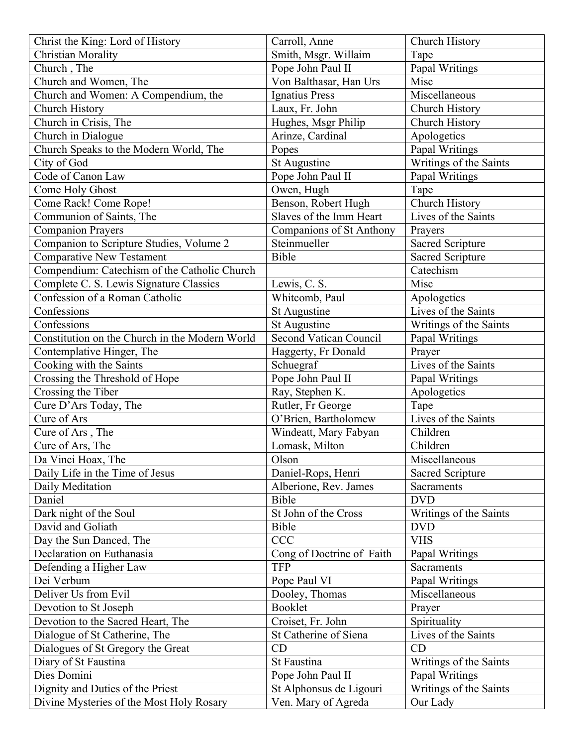| Christ the King: Lord of History               | Carroll, Anne                 | Church History                     |
|------------------------------------------------|-------------------------------|------------------------------------|
| <b>Christian Morality</b>                      | Smith, Msgr. Willaim          | Tape                               |
| Church, The                                    | Pope John Paul II             | Papal Writings                     |
| Church and Women, The                          | Von Balthasar, Han Urs        | Misc                               |
| Church and Women: A Compendium, the            | <b>Ignatius Press</b>         | Miscellaneous                      |
| <b>Church History</b>                          | Laux, Fr. John                | Church History                     |
| Church in Crisis, The                          | Hughes, Msgr Philip           | Church History                     |
| Church in Dialogue                             | Arinze, Cardinal              | Apologetics                        |
| Church Speaks to the Modern World, The         | Popes                         | Papal Writings                     |
| City of God                                    | St Augustine                  | Writings of the Saints             |
| Code of Canon Law                              | Pope John Paul II             | Papal Writings                     |
| Come Holy Ghost                                | Owen, Hugh                    | Tape                               |
| Come Rack! Come Rope!                          | Benson, Robert Hugh           | Church History                     |
| Communion of Saints, The                       | Slaves of the Imm Heart       | Lives of the Saints                |
| <b>Companion Prayers</b>                       | Companions of St Anthony      | Prayers                            |
| Companion to Scripture Studies, Volume 2       | Steinmueller                  | <b>Sacred Scripture</b>            |
| <b>Comparative New Testament</b>               | Bible                         | <b>Sacred Scripture</b>            |
| Compendium: Catechism of the Catholic Church   |                               | Catechism                          |
| Complete C. S. Lewis Signature Classics        | Lewis, C. S.                  | Misc                               |
| Confession of a Roman Catholic                 | Whitcomb, Paul                | Apologetics                        |
| Confessions                                    | St Augustine                  | Lives of the Saints                |
| Confessions                                    | St Augustine                  | Writings of the Saints             |
| Constitution on the Church in the Modern World | <b>Second Vatican Council</b> | Papal Writings                     |
| Contemplative Hinger, The                      | Haggerty, Fr Donald           | Prayer                             |
| Cooking with the Saints                        | Schuegraf                     | Lives of the Saints                |
| Crossing the Threshold of Hope                 | Pope John Paul II             | Papal Writings                     |
| Crossing the Tiber                             | Ray, Stephen K.               | Apologetics                        |
| Cure D'Ars Today, The                          | Rutler, Fr George             | Tape                               |
| Cure of Ars                                    | O'Brien, Bartholomew          | Lives of the Saints                |
| Cure of Ars, The                               | Windeatt, Mary Fabyan         | Children                           |
| Cure of Ars, The                               | Lomask, Milton                | Children                           |
| Da Vinci Hoax, The                             | Olson                         | $\overline{\text{M}}$ iscellaneous |
| Daily Life in the Time of Jesus                | Daniel-Rops, Henri            | <b>Sacred Scripture</b>            |
| Daily Meditation                               | Alberione, Rev. James         | Sacraments                         |
| Daniel                                         | Bible                         | <b>DVD</b>                         |
| Dark night of the Soul                         | St John of the Cross          | Writings of the Saints             |
| David and Goliath                              | Bible                         | <b>DVD</b>                         |
| Day the Sun Danced, The                        | <b>CCC</b>                    | <b>VHS</b>                         |
| Declaration on Euthanasia                      | Cong of Doctrine of Faith     | Papal Writings                     |
| Defending a Higher Law                         | <b>TFP</b>                    | Sacraments                         |
| Dei Verbum                                     | Pope Paul VI                  | Papal Writings                     |
| Deliver Us from Evil                           | Dooley, Thomas                | Miscellaneous                      |
| Devotion to St Joseph                          | Booklet                       | Prayer                             |
| Devotion to the Sacred Heart, The              | Croiset, Fr. John             | Spirituality                       |
| Dialogue of St Catherine, The                  | St Catherine of Siena         | Lives of the Saints                |
| Dialogues of St Gregory the Great              | CD                            | CD                                 |
| Diary of St Faustina                           | St Faustina                   | Writings of the Saints             |
| Dies Domini                                    | Pope John Paul II             | Papal Writings                     |
| Dignity and Duties of the Priest               | St Alphonsus de Ligouri       | Writings of the Saints             |
| Divine Mysteries of the Most Holy Rosary       | Ven. Mary of Agreda           | Our Lady                           |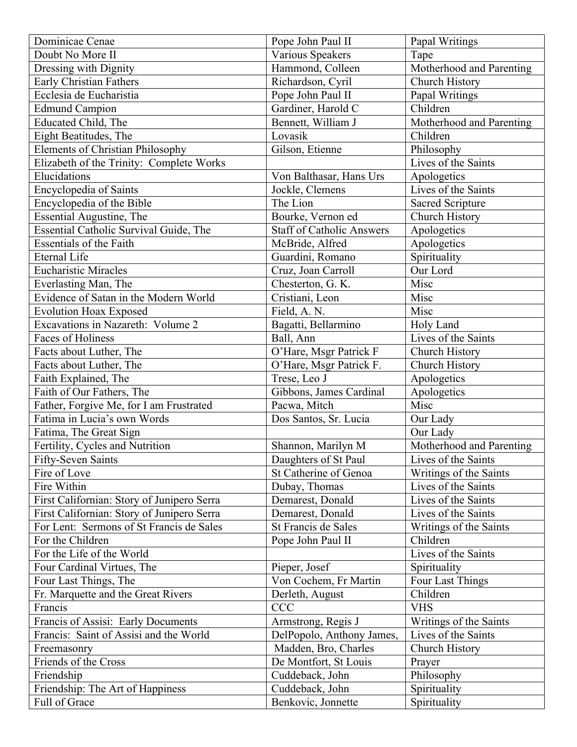| Dominicae Cenae                            | Pope John Paul II                | Papal Writings           |
|--------------------------------------------|----------------------------------|--------------------------|
| Doubt No More II                           | Various Speakers                 | Tape                     |
| Dressing with Dignity                      | Hammond, Colleen                 | Motherhood and Parenting |
| <b>Early Christian Fathers</b>             | Richardson, Cyril                | Church History           |
| Ecclesia de Eucharistia                    | Pope John Paul II                | Papal Writings           |
| <b>Edmund Campion</b>                      | Gardiner, Harold C               | Children                 |
| <b>Educated Child, The</b>                 | Bennett, William J               | Motherhood and Parenting |
| Eight Beatitudes, The                      | Lovasik                          | Children                 |
| <b>Elements of Christian Philosophy</b>    | Gilson, Etienne                  | Philosophy               |
| Elizabeth of the Trinity: Complete Works   |                                  | Lives of the Saints      |
| Elucidations                               | Von Balthasar, Hans Urs          | Apologetics              |
| Encyclopedia of Saints                     | Jockle, Clemens                  | Lives of the Saints      |
| Encyclopedia of the Bible                  | The Lion                         | <b>Sacred Scripture</b>  |
| Essential Augustine, The                   | Bourke, Vernon ed                | Church History           |
| Essential Catholic Survival Guide, The     | <b>Staff of Catholic Answers</b> | Apologetics              |
| <b>Essentials of the Faith</b>             | McBride, Alfred                  | Apologetics              |
| <b>Eternal Life</b>                        | Guardini, Romano                 | Spirituality             |
| <b>Eucharistic Miracles</b>                | Cruz, Joan Carroll               | Our Lord                 |
| Everlasting Man, The                       | Chesterton, G. K.                | Misc                     |
| Evidence of Satan in the Modern World      | Cristiani, Leon                  | Misc                     |
| <b>Evolution Hoax Exposed</b>              | Field, A. N.                     | Misc                     |
| Excavations in Nazareth: Volume 2          | Bagatti, Bellarmino              | Holy Land                |
| Faces of Holiness                          | Ball, Ann                        | Lives of the Saints      |
| Facts about Luther, The                    | O'Hare, Msgr Patrick F           | Church History           |
| Facts about Luther, The                    | O'Hare, Msgr Patrick F.          | Church History           |
| Faith Explained, The                       | Trese, Leo J                     | Apologetics              |
| Faith of Our Fathers, The                  | Gibbons, James Cardinal          | Apologetics              |
| Father, Forgive Me, for I am Frustrated    | Pacwa, Mitch                     | Misc                     |
| Fatima in Lucia's own Words                | Dos Santos, Sr. Lucia            | Our Lady                 |
| Fatima, The Great Sign                     |                                  | Our Lady                 |
| Fertility, Cycles and Nutrition            | Shannon, Marilyn M               | Motherhood and Parenting |
| Fifty-Seven Saints                         | Daughters of St Paul             | Lives of the Saints      |
| Fire of Love                               | St Catherine of Genoa            | Writings of the Saints   |
| Fire Within                                | Dubay, Thomas                    | Lives of the Saints      |
| First Californian: Story of Junipero Serra | Demarest, Donald                 | Lives of the Saints      |
| First Californian: Story of Junipero Serra | Demarest, Donald                 | Lives of the Saints      |
| For Lent: Sermons of St Francis de Sales   | St Francis de Sales              | Writings of the Saints   |
| For the Children                           | Pope John Paul II                | Children                 |
| For the Life of the World                  |                                  | Lives of the Saints      |
| Four Cardinal Virtues, The                 | Pieper, Josef                    | Spirituality             |
| Four Last Things, The                      | Von Cochem, Fr Martin            | Four Last Things         |
| Fr. Marquette and the Great Rivers         | Derleth, August                  | Children                 |
| Francis                                    | <b>CCC</b>                       | <b>VHS</b>               |
| Francis of Assisi: Early Documents         | Armstrong, Regis J               | Writings of the Saints   |
| Francis: Saint of Assisi and the World     | DelPopolo, Anthony James,        | Lives of the Saints      |
| Freemasonry                                | Madden, Bro, Charles             | Church History           |
| Friends of the Cross                       | De Montfort, St Louis            | Prayer                   |
| Friendship                                 | Cuddeback, John                  | Philosophy               |
| Friendship: The Art of Happiness           | Cuddeback, John                  | Spirituality             |
| Full of Grace                              | Benkovic, Jonnette               | Spirituality             |
|                                            |                                  |                          |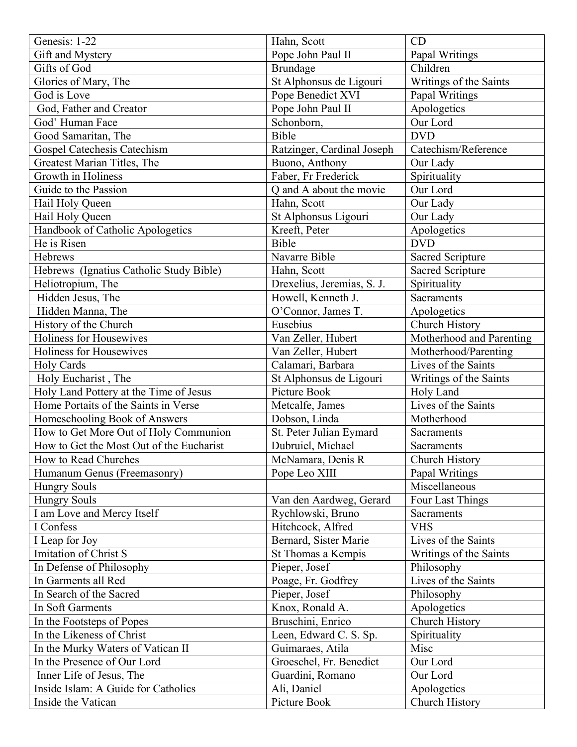| Genesis: 1-22                            | Hahn, Scott                | CD                       |
|------------------------------------------|----------------------------|--------------------------|
| Gift and Mystery                         | Pope John Paul II          | Papal Writings           |
| Gifts of God                             | <b>Brundage</b>            | Children                 |
| Glories of Mary, The                     | St Alphonsus de Ligouri    | Writings of the Saints   |
| God is Love                              | Pope Benedict XVI          | Papal Writings           |
| God, Father and Creator                  | Pope John Paul II          | Apologetics              |
| God' Human Face                          | Schonborn,                 | Our Lord                 |
| Good Samaritan, The                      | Bible                      | <b>DVD</b>               |
| Gospel Catechesis Catechism              | Ratzinger, Cardinal Joseph | Catechism/Reference      |
| Greatest Marian Titles, The              | Buono, Anthony             | Our Lady                 |
| <b>Growth in Holiness</b>                | Faber, Fr Frederick        | Spirituality             |
| Guide to the Passion                     | Q and A about the movie    | Our Lord                 |
| Hail Holy Queen                          | Hahn, Scott                | Our Lady                 |
| Hail Holy Queen                          | St Alphonsus Ligouri       | Our Lady                 |
| Handbook of Catholic Apologetics         | Kreeft, Peter              | Apologetics              |
| He is Risen                              | Bible                      | <b>DVD</b>               |
| Hebrews                                  | Navarre Bible              | <b>Sacred Scripture</b>  |
| Hebrews (Ignatius Catholic Study Bible)  | Hahn, Scott                | <b>Sacred Scripture</b>  |
| Heliotropium, The                        | Drexelius, Jeremias, S. J. | Spirituality             |
| Hidden Jesus, The                        | Howell, Kenneth J.         | Sacraments               |
| Hidden Manna, The                        | O'Connor, James T.         | Apologetics              |
| History of the Church                    | Eusebius                   | Church History           |
| <b>Holiness for Housewives</b>           | Van Zeller, Hubert         | Motherhood and Parenting |
| <b>Holiness for Housewives</b>           | Van Zeller, Hubert         | Motherhood/Parenting     |
| <b>Holy Cards</b>                        | Calamari, Barbara          | Lives of the Saints      |
| Holy Eucharist, The                      | St Alphonsus de Ligouri    | Writings of the Saints   |
| Holy Land Pottery at the Time of Jesus   | Picture Book               | Holy Land                |
| Home Portaits of the Saints in Verse     | Metcalfe, James            | Lives of the Saints      |
| Homeschooling Book of Answers            | Dobson, Linda              | Motherhood               |
| How to Get More Out of Holy Communion    | St. Peter Julian Eymard    | <b>Sacraments</b>        |
| How to Get the Most Out of the Eucharist | Dubruiel, Michael          | Sacraments               |
| How to Read Churches                     | McNamara, Denis R          | Church History           |
| Humanum Genus (Freemasonry)              | Pope Leo XIII              | Papal Writings           |
| <b>Hungry Souls</b>                      |                            | Miscellaneous            |
| <b>Hungry Souls</b>                      | Van den Aardweg, Gerard    | Four Last Things         |
| I am Love and Mercy Itself               | Rychlowski, Bruno          | Sacraments               |
| I Confess                                | Hitchcock, Alfred          | <b>VHS</b>               |
| I Leap for Joy                           | Bernard, Sister Marie      | Lives of the Saints      |
| <b>Imitation of Christ S</b>             | St Thomas a Kempis         | Writings of the Saints   |
| In Defense of Philosophy                 | Pieper, Josef              | Philosophy               |
| In Garments all Red                      | Poage, Fr. Godfrey         | Lives of the Saints      |
| In Search of the Sacred                  | Pieper, Josef              | Philosophy               |
| In Soft Garments                         | Knox, Ronald A.            | Apologetics              |
| In the Footsteps of Popes                | Bruschini, Enrico          | Church History           |
| In the Likeness of Christ                | Leen, Edward C. S. Sp.     | Spirituality             |
| In the Murky Waters of Vatican II        | Guimaraes, Atila           | Misc                     |
| In the Presence of Our Lord              | Groeschel, Fr. Benedict    | Our Lord                 |
| Inner Life of Jesus, The                 | Guardini, Romano           | Our Lord                 |
| Inside Islam: A Guide for Catholics      | Ali, Daniel                | Apologetics              |
| Inside the Vatican                       | Picture Book               | Church History           |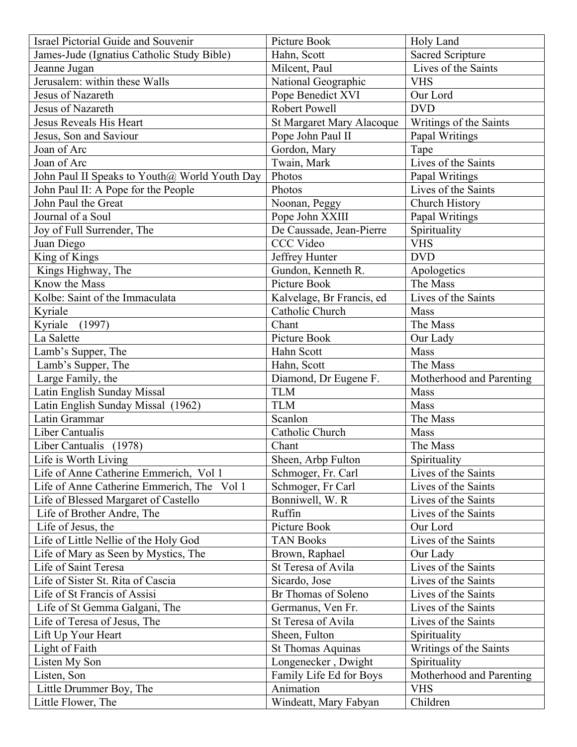| Israel Pictorial Guide and Souvenir           | Picture Book                     | Holy Land                |
|-----------------------------------------------|----------------------------------|--------------------------|
| James-Jude (Ignatius Catholic Study Bible)    | Hahn, Scott                      | <b>Sacred Scripture</b>  |
| Jeanne Jugan                                  | Milcent, Paul                    | Lives of the Saints      |
| Jerusalem: within these Walls                 | National Geographic              | <b>VHS</b>               |
| Jesus of Nazareth                             | Pope Benedict XVI                | Our Lord                 |
| Jesus of Nazareth                             | Robert Powell                    | <b>DVD</b>               |
| Jesus Reveals His Heart                       | <b>St Margaret Mary Alacoque</b> | Writings of the Saints   |
| Jesus, Son and Saviour                        | Pope John Paul II                | Papal Writings           |
| Joan of Arc                                   | Gordon, Mary                     | Tape                     |
| Joan of Arc                                   | Twain, Mark                      | Lives of the Saints      |
| John Paul II Speaks to Youth@ World Youth Day | Photos                           | Papal Writings           |
| John Paul II: A Pope for the People           | Photos                           | Lives of the Saints      |
| John Paul the Great                           | Noonan, Peggy                    | Church History           |
| Journal of a Soul                             | Pope John XXIII                  | Papal Writings           |
| Joy of Full Surrender, The                    | De Caussade, Jean-Pierre         | Spirituality             |
| Juan Diego                                    | <b>CCC Video</b>                 | <b>VHS</b>               |
| King of Kings                                 | Jeffrey Hunter                   | <b>DVD</b>               |
| Kings Highway, The                            | Gundon, Kenneth R.               | Apologetics              |
| Know the Mass                                 | Picture Book                     | The Mass                 |
| Kolbe: Saint of the Immaculata                | Kalvelage, Br Francis, ed        | Lives of the Saints      |
| Kyriale                                       | Catholic Church                  | Mass                     |
| Kyriale<br>(1997)                             | Chant                            | The Mass                 |
| La Salette                                    | Picture Book                     | Our Lady                 |
| Lamb's Supper, The                            | Hahn Scott                       | Mass                     |
| Lamb's Supper, The                            | Hahn, Scott                      | The Mass                 |
| Large Family, the                             | Diamond, Dr Eugene F.            | Motherhood and Parenting |
| Latin English Sunday Missal                   | <b>TLM</b>                       | Mass                     |
| Latin English Sunday Missal (1962)            | <b>TLM</b>                       | Mass                     |
| Latin Grammar                                 | Scanlon                          | The Mass                 |
| Liber Cantualis                               | Catholic Church                  | Mass                     |
| Liber Cantualis (1978)                        | Chant                            | The Mass                 |
| Life is Worth Living                          | Sheen, Arbp Fulton               | Spirituality             |
| Life of Anne Catherine Emmerich, Vol 1        | Schmoger, Fr. Carl               | Lives of the Saints      |
| Life of Anne Catherine Emmerich, The Vol 1    | Schmoger, Fr Carl                | Lives of the Saints      |
| Life of Blessed Margaret of Castello          | Bonniwell, W. R.                 | Lives of the Saints      |
| Life of Brother Andre, The                    | Ruffin                           | Lives of the Saints      |
| Life of Jesus, the                            | Picture Book                     | Our Lord                 |
| Life of Little Nellie of the Holy God         | <b>TAN Books</b>                 | Lives of the Saints      |
| Life of Mary as Seen by Mystics, The          | Brown, Raphael                   | Our Lady                 |
| Life of Saint Teresa                          | St Teresa of Avila               | Lives of the Saints      |
| Life of Sister St. Rita of Cascia             | Sicardo, Jose                    | Lives of the Saints      |
| Life of St Francis of Assisi                  | Br Thomas of Soleno              | Lives of the Saints      |
| Life of St Gemma Galgani, The                 | Germanus, Ven Fr.                | Lives of the Saints      |
| Life of Teresa of Jesus, The                  | St Teresa of Avila               | Lives of the Saints      |
| Lift Up Your Heart                            | Sheen, Fulton                    | Spirituality             |
| Light of Faith                                | <b>St Thomas Aquinas</b>         | Writings of the Saints   |
| Listen My Son                                 | Longenecker, Dwight              | Spirituality             |
| Listen, Son                                   | Family Life Ed for Boys          | Motherhood and Parenting |
| Little Drummer Boy, The                       | Animation                        | <b>VHS</b>               |
| Little Flower, The                            | Windeatt, Mary Fabyan            | Children                 |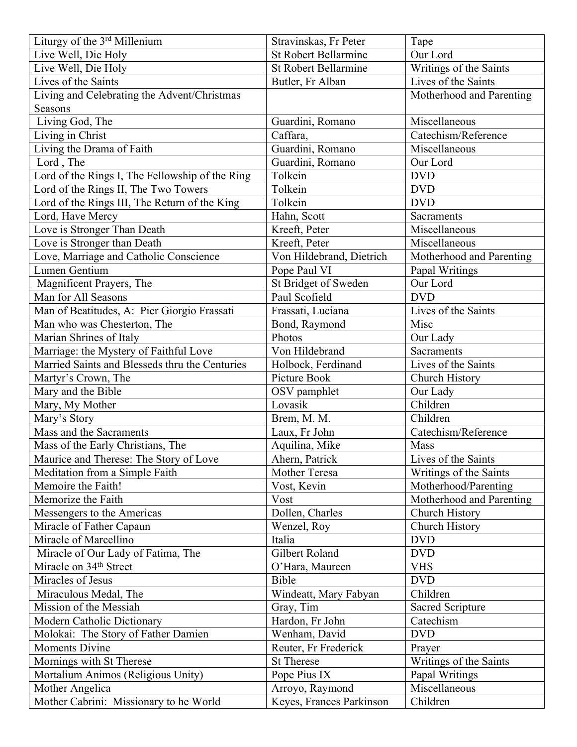| Liturgy of the 3 <sup>rd</sup> Millenium        | Stravinskas, Fr Peter       | Tape                     |
|-------------------------------------------------|-----------------------------|--------------------------|
| Live Well, Die Holy                             | <b>St Robert Bellarmine</b> | Our Lord                 |
| Live Well, Die Holy                             | <b>St Robert Bellarmine</b> | Writings of the Saints   |
| Lives of the Saints                             | Butler, Fr Alban            | Lives of the Saints      |
| Living and Celebrating the Advent/Christmas     |                             | Motherhood and Parenting |
| Seasons                                         |                             |                          |
| Living God, The                                 | Guardini, Romano            | Miscellaneous            |
| Living in Christ                                | Caffara,                    | Catechism/Reference      |
| Living the Drama of Faith                       | Guardini, Romano            | Miscellaneous            |
| Lord, The                                       | Guardini, Romano            | Our Lord                 |
| Lord of the Rings I, The Fellowship of the Ring | Tolkein                     | <b>DVD</b>               |
| Lord of the Rings II, The Two Towers            | Tolkein                     | <b>DVD</b>               |
| Lord of the Rings III, The Return of the King   | Tolkein                     | <b>DVD</b>               |
| Lord, Have Mercy                                | Hahn, Scott                 | <b>Sacraments</b>        |
| Love is Stronger Than Death                     | Kreeft, Peter               | Miscellaneous            |
| Love is Stronger than Death                     | Kreeft, Peter               | Miscellaneous            |
| Love, Marriage and Catholic Conscience          | Von Hildebrand, Dietrich    | Motherhood and Parenting |
| Lumen Gentium                                   | Pope Paul VI                | Papal Writings           |
| Magnificent Prayers, The                        | St Bridget of Sweden        | Our Lord                 |
| Man for All Seasons                             | Paul Scofield               | <b>DVD</b>               |
| Man of Beatitudes, A: Pier Giorgio Frassati     | Frassati, Luciana           | Lives of the Saints      |
| Man who was Chesterton, The                     | Bond, Raymond               | Misc                     |
| Marian Shrines of Italy                         | Photos                      | Our Lady                 |
| Marriage: the Mystery of Faithful Love          | Von Hildebrand              | Sacraments               |
| Married Saints and Blesseds thru the Centuries  | Holbock, Ferdinand          | Lives of the Saints      |
| Martyr's Crown, The                             | Picture Book                | Church History           |
| Mary and the Bible                              | OSV pamphlet                | Our Lady                 |
| Mary, My Mother                                 | Lovasik                     | Children                 |
| Mary's Story                                    | Brem, M. M.                 | Children                 |
| Mass and the Sacraments                         | Laux, Fr John               | Catechism/Reference      |
| Mass of the Early Christians, The               | Aquilina, Mike              | Mass                     |
| Maurice and Therese: The Story of Love          | Ahern, Patrick              | Lives of the Saints      |
| Meditation from a Simple Faith                  | Mother Teresa               | Writings of the Saints   |
| Memoire the Faith!                              | Vost, Kevin                 | Motherhood/Parenting     |
| Memorize the Faith                              | Vost                        | Motherhood and Parenting |
| Messengers to the Americas                      | Dollen, Charles             | Church History           |
| Miracle of Father Capaun                        | Wenzel, Roy                 | Church History           |
| Miracle of Marcellino                           | Italia                      | <b>DVD</b>               |
| Miracle of Our Lady of Fatima, The              | Gilbert Roland              | <b>DVD</b>               |
| Miracle on 34 <sup>th</sup> Street              | O'Hara, Maureen             | <b>VHS</b>               |
| Miracles of Jesus                               | Bible                       | <b>DVD</b>               |
| Miraculous Medal, The                           | Windeatt, Mary Fabyan       | Children                 |
| Mission of the Messiah                          | Gray, Tim                   | <b>Sacred Scripture</b>  |
| Modern Catholic Dictionary                      | Hardon, Fr John             | Catechism                |
| Molokai: The Story of Father Damien             | Wenham, David               | <b>DVD</b>               |
| <b>Moments Divine</b>                           | Reuter, Fr Frederick        | Prayer                   |
| Mornings with St Therese                        | <b>St Therese</b>           | Writings of the Saints   |
| Mortalium Animos (Religious Unity)              | Pope Pius IX                | Papal Writings           |
| Mother Angelica                                 | Arroyo, Raymond             | Miscellaneous            |
| Mother Cabrini: Missionary to he World          | Keyes, Frances Parkinson    | Children                 |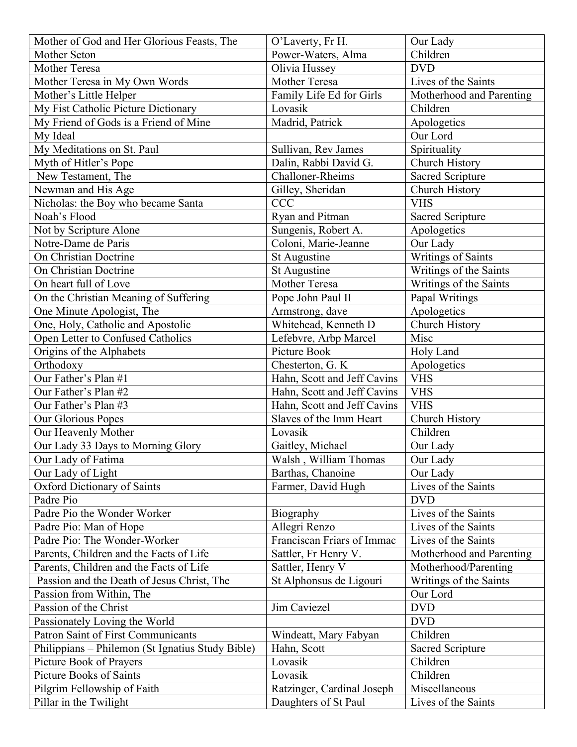| Mother of God and Her Glorious Feasts, The       | O'Laverty, Fr H.            | Our Lady                  |
|--------------------------------------------------|-----------------------------|---------------------------|
| Mother Seton                                     | Power-Waters, Alma          | Children                  |
| Mother Teresa                                    | Olivia Hussey               | <b>DVD</b>                |
| Mother Teresa in My Own Words                    | Mother Teresa               | Lives of the Saints       |
| Mother's Little Helper                           | Family Life Ed for Girls    | Motherhood and Parenting  |
| My Fist Catholic Picture Dictionary              | Lovasik                     | Children                  |
| My Friend of Gods is a Friend of Mine            | Madrid, Patrick             | Apologetics               |
| My Ideal                                         |                             | Our Lord                  |
| My Meditations on St. Paul                       | Sullivan, Rev James         | Spirituality              |
| Myth of Hitler's Pope                            | Dalin, Rabbi David G.       | Church History            |
| New Testament, The                               | Challoner-Rheims            | <b>Sacred Scripture</b>   |
| Newman and His Age                               | Gilley, Sheridan            | Church History            |
| Nicholas: the Boy who became Santa               | <b>CCC</b>                  | <b>VHS</b>                |
| Noah's Flood                                     | Ryan and Pitman             | <b>Sacred Scripture</b>   |
| Not by Scripture Alone                           | Sungenis, Robert A.         | Apologetics               |
| Notre-Dame de Paris                              | Coloni, Marie-Jeanne        | Our Lady                  |
| <b>On Christian Doctrine</b>                     | St Augustine                | <b>Writings of Saints</b> |
| <b>On Christian Doctrine</b>                     | St Augustine                | Writings of the Saints    |
| On heart full of Love                            | Mother Teresa               | Writings of the Saints    |
| On the Christian Meaning of Suffering            | Pope John Paul II           | Papal Writings            |
| One Minute Apologist, The                        | Armstrong, dave             | Apologetics               |
| One, Holy, Catholic and Apostolic                | Whitehead, Kenneth D        | Church History            |
| Open Letter to Confused Catholics                | Lefebvre, Arbp Marcel       | Misc                      |
| Origins of the Alphabets                         | Picture Book                | Holy Land                 |
| Orthodoxy                                        | Chesterton, G. K            | Apologetics               |
| Our Father's Plan #1                             | Hahn, Scott and Jeff Cavins | <b>VHS</b>                |
| Our Father's Plan #2                             | Hahn, Scott and Jeff Cavins | <b>VHS</b>                |
| Our Father's Plan #3                             | Hahn, Scott and Jeff Cavins | <b>VHS</b>                |
| Our Glorious Popes                               | Slaves of the Imm Heart     | Church History            |
| Our Heavenly Mother                              | Lovasik                     | Children                  |
| Our Lady 33 Days to Morning Glory                | Gaitley, Michael            | Our Lady                  |
| Our Lady of Fatima                               | Walsh, William Thomas       | Our Lady                  |
| Our Lady of Light                                | Barthas, Chanoine           | Our Lady                  |
| Oxford Dictionary of Saints                      | Farmer, David Hugh          | Lives of the Saints       |
| Padre Pio                                        |                             | <b>DVD</b>                |
| Padre Pio the Wonder Worker                      | Biography                   | Lives of the Saints       |
| Padre Pio: Man of Hope                           | Allegri Renzo               | Lives of the Saints       |
| Padre Pio: The Wonder-Worker                     | Franciscan Friars of Immac  | Lives of the Saints       |
| Parents, Children and the Facts of Life          | Sattler, Fr Henry V.        | Motherhood and Parenting  |
| Parents, Children and the Facts of Life          | Sattler, Henry V            | Motherhood/Parenting      |
| Passion and the Death of Jesus Christ, The       | St Alphonsus de Ligouri     | Writings of the Saints    |
| Passion from Within, The                         |                             | Our Lord                  |
| Passion of the Christ                            | Jim Caviezel                | <b>DVD</b>                |
| Passionately Loving the World                    |                             | <b>DVD</b>                |
| <b>Patron Saint of First Communicants</b>        | Windeatt, Mary Fabyan       | Children                  |
| Philippians – Philemon (St Ignatius Study Bible) | Hahn, Scott                 | <b>Sacred Scripture</b>   |
| Picture Book of Prayers                          | Lovasik                     | Children                  |
| <b>Picture Books of Saints</b>                   | Lovasik                     | Children                  |
| Pilgrim Fellowship of Faith                      | Ratzinger, Cardinal Joseph  | Miscellaneous             |
| Pillar in the Twilight                           | Daughters of St Paul        | Lives of the Saints       |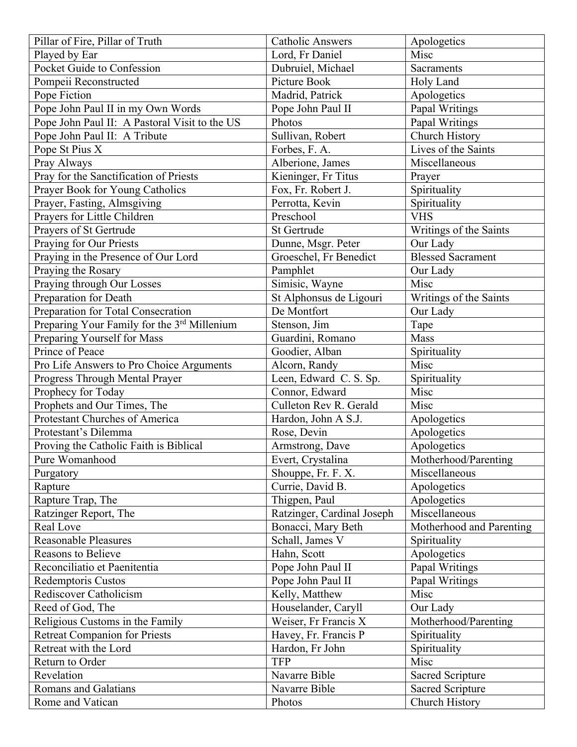| Pillar of Fire, Pillar of Truth                          | <b>Catholic Answers</b>    | Apologetics                         |
|----------------------------------------------------------|----------------------------|-------------------------------------|
| Played by Ear                                            | Lord, Fr Daniel            | Misc                                |
| Pocket Guide to Confession                               | Dubruiel, Michael          | Sacraments                          |
| Pompeii Reconstructed                                    | Picture Book               | Holy Land                           |
| Pope Fiction                                             | Madrid, Patrick            | Apologetics                         |
| Pope John Paul II in my Own Words                        | Pope John Paul II          | Papal Writings                      |
| Pope John Paul II: A Pastoral Visit to the US            | Photos                     | Papal Writings                      |
| Pope John Paul II: A Tribute                             | Sullivan, Robert           | Church History                      |
| Pope St Pius X                                           | Forbes, F. A.              | Lives of the Saints                 |
| Pray Always                                              | Alberione, James           | Miscellaneous                       |
| Pray for the Sanctification of Priests                   | Kieninger, Fr Titus        | Prayer                              |
| Prayer Book for Young Catholics                          | Fox, Fr. Robert J.         | Spirituality                        |
| Prayer, Fasting, Almsgiving                              | Perrotta, Kevin            | Spirituality                        |
| Prayers for Little Children                              | Preschool                  | <b>VHS</b>                          |
| Prayers of St Gertrude                                   | St Gertrude                | Writings of the Saints              |
| Praying for Our Priests                                  | Dunne, Msgr. Peter         | Our Lady                            |
| Praying in the Presence of Our Lord                      | Groeschel, Fr Benedict     | <b>Blessed Sacrament</b>            |
| Praying the Rosary                                       | Pamphlet                   | Our Lady                            |
| Praying through Our Losses                               | Simisic, Wayne             | Misc                                |
| Preparation for Death                                    | St Alphonsus de Ligouri    | Writings of the Saints              |
| Preparation for Total Consecration                       | De Montfort                | Our Lady                            |
| Preparing Your Family for the 3rd Millenium              | Stenson, Jim               | Tape                                |
| Preparing Yourself for Mass                              | Guardini, Romano           | Mass                                |
| Prince of Peace                                          | Goodier, Alban             | Spirituality                        |
| Pro Life Answers to Pro Choice Arguments                 | Alcorn, Randy              | Misc                                |
| Progress Through Mental Prayer                           | Leen, Edward C. S. Sp.     | Spirituality                        |
| Prophecy for Today                                       | Connor, Edward             | Misc                                |
| Prophets and Our Times, The                              | Culleton Rev R. Gerald     | Misc                                |
| Protestant Churches of America                           | Hardon, John A S.J.        |                                     |
| Protestant's Dilemma                                     | Rose, Devin                | Apologetics                         |
|                                                          |                            | Apologetics                         |
| Proving the Catholic Faith is Biblical<br>Pure Womanhood | Armstrong, Dave            | Apologetics<br>Motherhood/Parenting |
|                                                          | Evert, Crystalina          |                                     |
| Purgatory                                                | Shouppe, Fr. F. X.         | Miscellaneous                       |
| Rapture                                                  | Currie, David B.           | Apologetics                         |
| Rapture Trap, The                                        | Thigpen, Paul              | Apologetics                         |
| Ratzinger Report, The                                    | Ratzinger, Cardinal Joseph | Miscellaneous                       |
| Real Love                                                | Bonacci, Mary Beth         | Motherhood and Parenting            |
| <b>Reasonable Pleasures</b>                              | Schall, James V            | Spirituality                        |
| <b>Reasons to Believe</b>                                | Hahn, Scott                | Apologetics                         |
| Reconciliatio et Paenitentia                             | Pope John Paul II          | Papal Writings                      |
| Redemptoris Custos                                       | Pope John Paul II          | Papal Writings                      |
| Rediscover Catholicism                                   | Kelly, Matthew             | Misc                                |
| Reed of God, The                                         | Houselander, Caryll        | Our Lady                            |
| Religious Customs in the Family                          | Weiser, Fr Francis X       | Motherhood/Parenting                |
| <b>Retreat Companion for Priests</b>                     | Havey, Fr. Francis P       | Spirituality                        |
| Retreat with the Lord                                    | Hardon, Fr John            | Spirituality                        |
| Return to Order                                          | <b>TFP</b>                 | Misc                                |
| Revelation                                               | Navarre Bible              | Sacred Scripture                    |
| <b>Romans and Galatians</b>                              |                            |                                     |
|                                                          | Navarre Bible              | <b>Sacred Scripture</b>             |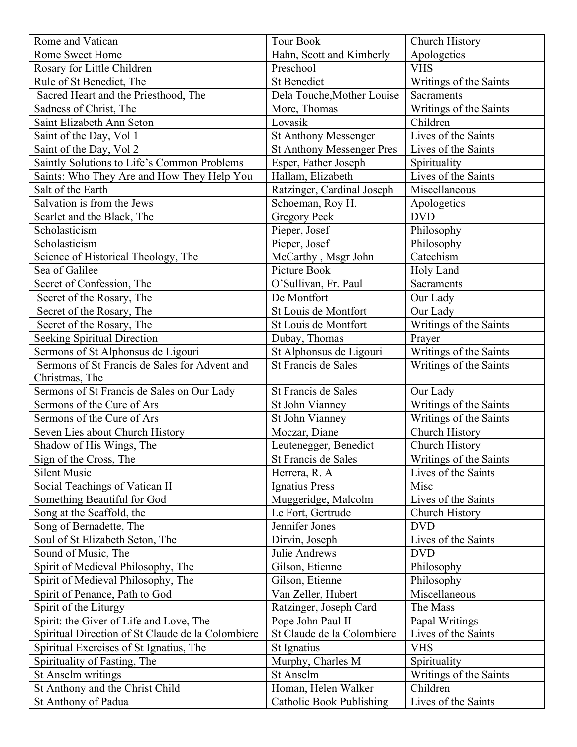| Rome and Vatican                                  | <b>Tour Book</b>                 | Church History         |
|---------------------------------------------------|----------------------------------|------------------------|
| Rome Sweet Home                                   | Hahn, Scott and Kimberly         | Apologetics            |
| Rosary for Little Children                        | Preschool                        | <b>VHS</b>             |
| Rule of St Benedict, The                          | <b>St Benedict</b>               | Writings of the Saints |
| Sacred Heart and the Priesthood, The              | Dela Touche, Mother Louise       | <b>Sacraments</b>      |
| Sadness of Christ, The                            | More, Thomas                     | Writings of the Saints |
| Saint Elizabeth Ann Seton                         | Lovasik                          | Children               |
| Saint of the Day, Vol 1                           | St Anthony Messenger             | Lives of the Saints    |
| Saint of the Day, Vol 2                           | <b>St Anthony Messenger Pres</b> | Lives of the Saints    |
| Saintly Solutions to Life's Common Problems       | Esper, Father Joseph             | Spirituality           |
| Saints: Who They Are and How They Help You        | Hallam, Elizabeth                | Lives of the Saints    |
| Salt of the Earth                                 | Ratzinger, Cardinal Joseph       | Miscellaneous          |
| Salvation is from the Jews                        | Schoeman, Roy H.                 | Apologetics            |
| Scarlet and the Black, The                        | <b>Gregory Peck</b>              | <b>DVD</b>             |
| Scholasticism                                     | Pieper, Josef                    | Philosophy             |
| Scholasticism                                     | Pieper, Josef                    | Philosophy             |
| Science of Historical Theology, The               | McCarthy, Msgr John              | Catechism              |
| Sea of Galilee                                    | Picture Book                     | Holy Land              |
| Secret of Confession, The                         | O'Sullivan, Fr. Paul             | Sacraments             |
| Secret of the Rosary, The                         | De Montfort                      | Our Lady               |
| Secret of the Rosary, The                         | St Louis de Montfort             | Our Lady               |
| Secret of the Rosary, The                         | St Louis de Montfort             | Writings of the Saints |
| <b>Seeking Spiritual Direction</b>                | Dubay, Thomas                    | Prayer                 |
| Sermons of St Alphonsus de Ligouri                | St Alphonsus de Ligouri          | Writings of the Saints |
| Sermons of St Francis de Sales for Advent and     | St Francis de Sales              | Writings of the Saints |
| Christmas, The                                    |                                  |                        |
| Sermons of St Francis de Sales on Our Lady        | St Francis de Sales              | Our Lady               |
| Sermons of the Cure of Ars                        | St John Vianney                  | Writings of the Saints |
| Sermons of the Cure of Ars                        | St John Vianney                  | Writings of the Saints |
| Seven Lies about Church History                   | Moczar, Diane                    | Church History         |
| Shadow of His Wings, The                          | Leutenegger, Benedict            | Church History         |
| Sign of the Cross, The                            | St Francis de Sales              | Writings of the Saints |
| <b>Silent Music</b>                               | Herrera, R. A.                   | Lives of the Saints    |
| Social Teachings of Vatican II                    | <b>Ignatius Press</b>            | Misc                   |
| Something Beautiful for God                       | Muggeridge, Malcolm              | Lives of the Saints    |
| Song at the Scaffold, the                         | Le Fort, Gertrude                | Church History         |
| Song of Bernadette, The                           | Jennifer Jones                   | <b>DVD</b>             |
| Soul of St Elizabeth Seton, The                   | Dirvin, Joseph                   | Lives of the Saints    |
| Sound of Music, The                               | Julie Andrews                    | <b>DVD</b>             |
| Spirit of Medieval Philosophy, The                | Gilson, Etienne                  | Philosophy             |
| Spirit of Medieval Philosophy, The                | Gilson, Etienne                  | Philosophy             |
| Spirit of Penance, Path to God                    | Van Zeller, Hubert               | Miscellaneous          |
| Spirit of the Liturgy                             | Ratzinger, Joseph Card           | The Mass               |
| Spirit: the Giver of Life and Love, The           | Pope John Paul II                | Papal Writings         |
| Spiritual Direction of St Claude de la Colombiere | St Claude de la Colombiere       | Lives of the Saints    |
| Spiritual Exercises of St Ignatius, The           | St Ignatius                      | <b>VHS</b>             |
| Spirituality of Fasting, The                      | Murphy, Charles M                | Spirituality           |
| St Anselm writings                                | St Anselm                        | Writings of the Saints |
| St Anthony and the Christ Child                   | Homan, Helen Walker              | Children               |
| St Anthony of Padua                               | <b>Catholic Book Publishing</b>  | Lives of the Saints    |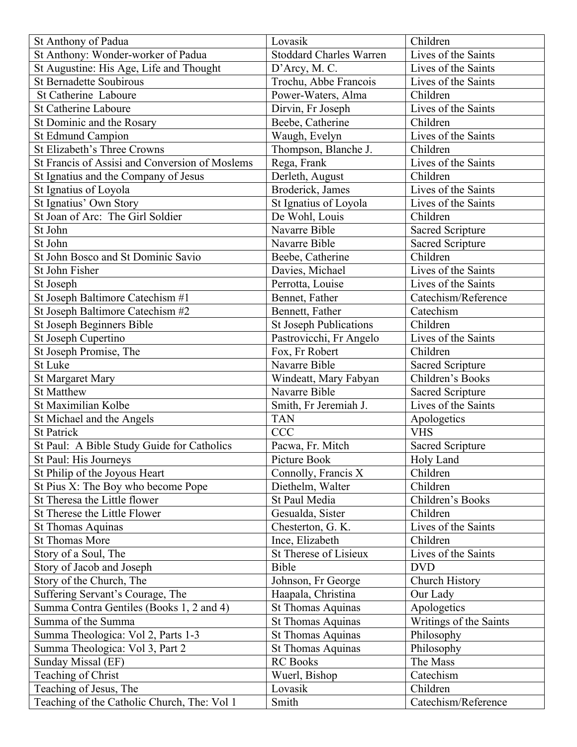| St Anthony of Padua                            | Lovasik                        | Children                |
|------------------------------------------------|--------------------------------|-------------------------|
| St Anthony: Wonder-worker of Padua             | <b>Stoddard Charles Warren</b> | Lives of the Saints     |
| St Augustine: His Age, Life and Thought        | D'Arcy, M. C.                  | Lives of the Saints     |
| <b>St Bernadette Soubirous</b>                 | Trochu, Abbe Francois          | Lives of the Saints     |
| St Catherine Laboure                           | Power-Waters, Alma             | Children                |
| <b>St Catherine Laboure</b>                    | Dirvin, Fr Joseph              | Lives of the Saints     |
| St Dominic and the Rosary                      | Beebe, Catherine               | Children                |
| <b>St Edmund Campion</b>                       | Waugh, Evelyn                  | Lives of the Saints     |
| St Elizabeth's Three Crowns                    | Thompson, Blanche J.           | Children                |
| St Francis of Assisi and Conversion of Moslems | Rega, Frank                    | Lives of the Saints     |
| St Ignatius and the Company of Jesus           | Derleth, August                | Children                |
| St Ignatius of Loyola                          | Broderick, James               | Lives of the Saints     |
| St Ignatius' Own Story                         | St Ignatius of Loyola          | Lives of the Saints     |
| St Joan of Arc: The Girl Soldier               | De Wohl, Louis                 | Children                |
| St John                                        | Navarre Bible                  | <b>Sacred Scripture</b> |
| St John                                        | Navarre Bible                  | <b>Sacred Scripture</b> |
| St John Bosco and St Dominic Savio             | Beebe, Catherine               | Children                |
| St John Fisher                                 | Davies, Michael                | Lives of the Saints     |
| St Joseph                                      | Perrotta, Louise               | Lives of the Saints     |
| St Joseph Baltimore Catechism #1               | Bennet, Father                 | Catechism/Reference     |
| St Joseph Baltimore Catechism #2               | Bennett, Father                | Catechism               |
| St Joseph Beginners Bible                      | <b>St Joseph Publications</b>  | Children                |
| St Joseph Cupertino                            | Pastrovicchi, Fr Angelo        | Lives of the Saints     |
| St Joseph Promise, The                         | Fox, Fr Robert                 | Children                |
| St Luke                                        | Navarre Bible                  | <b>Sacred Scripture</b> |
| <b>St Margaret Mary</b>                        | Windeatt, Mary Fabyan          | Children's Books        |
| <b>St Matthew</b>                              | Navarre Bible                  | <b>Sacred Scripture</b> |
| St Maximilian Kolbe                            | Smith, Fr Jeremiah J.          | Lives of the Saints     |
| St Michael and the Angels                      | <b>TAN</b>                     | Apologetics             |
| <b>St Patrick</b>                              | <b>CCC</b>                     | <b>VHS</b>              |
| St Paul: A Bible Study Guide for Catholics     | Pacwa, Fr. Mitch               | Sacred Scripture        |
| St Paul: His Journeys                          | Picture Book                   | Holy Land               |
| St Philip of the Joyous Heart                  | Connolly, Francis X            | Children                |
| St Pius X: The Boy who become Pope             | Diethelm, Walter               | Children                |
| St Theresa the Little flower                   | St Paul Media                  | Children's Books        |
| St Therese the Little Flower                   | Gesualda, Sister               | Children                |
| <b>St Thomas Aquinas</b>                       | Chesterton, G. K.              | Lives of the Saints     |
| <b>St Thomas More</b>                          | Ince, Elizabeth                | Children                |
| Story of a Soul, The                           | St Therese of Lisieux          | Lives of the Saints     |
| Story of Jacob and Joseph                      | Bible                          | <b>DVD</b>              |
| Story of the Church, The                       | Johnson, Fr George             | Church History          |
| Suffering Servant's Courage, The               | Haapala, Christina             | Our Lady                |
| Summa Contra Gentiles (Books 1, 2 and 4)       | <b>St Thomas Aquinas</b>       | Apologetics             |
| Summa of the Summa                             | <b>St Thomas Aquinas</b>       | Writings of the Saints  |
| Summa Theologica: Vol 2, Parts 1-3             | <b>St Thomas Aquinas</b>       | Philosophy              |
| Summa Theologica: Vol 3, Part 2                | St Thomas Aquinas              | Philosophy              |
| Sunday Missal (EF)                             | <b>RC</b> Books                | The Mass                |
| Teaching of Christ                             | Wuerl, Bishop                  | Catechism               |
| Teaching of Jesus, The                         | Lovasik                        | Children                |
| Teaching of the Catholic Church, The: Vol 1    | Smith                          | Catechism/Reference     |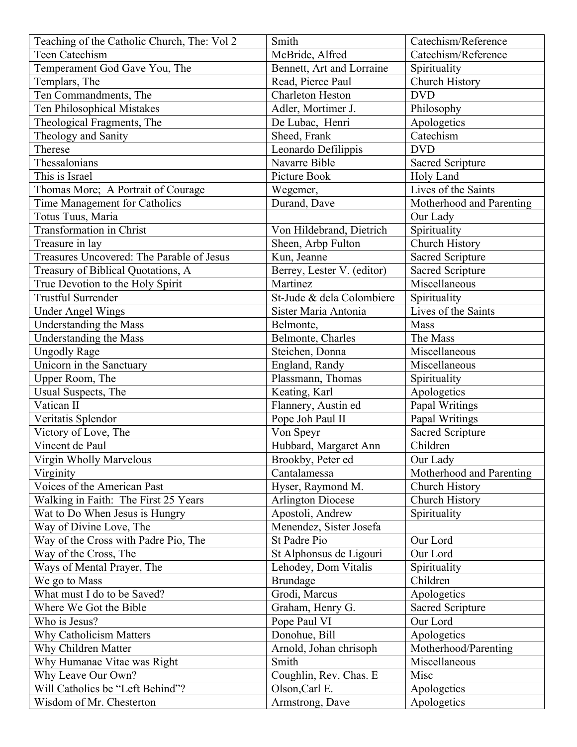| Teaching of the Catholic Church, The: Vol 2 | Smith                      | Catechism/Reference      |
|---------------------------------------------|----------------------------|--------------------------|
| Teen Catechism                              | McBride, Alfred            | Catechism/Reference      |
| Temperament God Gave You, The               | Bennett, Art and Lorraine  | Spirituality             |
| Templars, The                               | Read, Pierce Paul          | Church History           |
| Ten Commandments, The                       | <b>Charleton Heston</b>    | <b>DVD</b>               |
| Ten Philosophical Mistakes                  | Adler, Mortimer J.         | Philosophy               |
| Theological Fragments, The                  | De Lubac, Henri            | Apologetics              |
| Theology and Sanity                         | Sheed, Frank               | Catechism                |
| Therese                                     | Leonardo Defilippis        | <b>DVD</b>               |
| Thessalonians                               | Navarre Bible              | <b>Sacred Scripture</b>  |
| This is Israel                              | Picture Book               | Holy Land                |
| Thomas More; A Portrait of Courage          | Wegemer,                   | Lives of the Saints      |
| Time Management for Catholics               | Durand, Dave               | Motherhood and Parenting |
| Totus Tuus, Maria                           |                            | Our Lady                 |
| Transformation in Christ                    | Von Hildebrand, Dietrich   | Spirituality             |
| Treasure in lay                             | Sheen, Arbp Fulton         | Church History           |
| Treasures Uncovered: The Parable of Jesus   | Kun, Jeanne                | <b>Sacred Scripture</b>  |
| Treasury of Biblical Quotations, A          | Berrey, Lester V. (editor) | <b>Sacred Scripture</b>  |
| True Devotion to the Holy Spirit            | Martinez                   | Miscellaneous            |
| <b>Trustful Surrender</b>                   | St-Jude & dela Colombiere  | Spirituality             |
| <b>Under Angel Wings</b>                    | Sister Maria Antonia       | Lives of the Saints      |
| Understanding the Mass                      | Belmonte,                  | Mass                     |
| Understanding the Mass                      | Belmonte, Charles          | The Mass                 |
| <b>Ungodly Rage</b>                         | Steichen, Donna            | Miscellaneous            |
| Unicorn in the Sanctuary                    | England, Randy             | Miscellaneous            |
| Upper Room, The                             | Plassmann, Thomas          | Spirituality             |
| Usual Suspects, The                         | Keating, Karl              | Apologetics              |
| Vatican II                                  | Flannery, Austin ed        | Papal Writings           |
| Veritatis Splendor                          | Pope Joh Paul II           | Papal Writings           |
| Victory of Love, The                        | Von Speyr                  | <b>Sacred Scripture</b>  |
| Vincent de Paul                             | Hubbard, Margaret Ann      | Children                 |
| Virgin Wholly Marvelous                     | Brookby, Peter ed          | Our Lady                 |
| Virginity                                   | Cantalamessa               | Motherhood and Parenting |
| Voices of the American Past                 | Hyser, Raymond M.          | Church History           |
| Walking in Faith: The First 25 Years        | <b>Arlington Diocese</b>   | Church History           |
| Wat to Do When Jesus is Hungry              | Apostoli, Andrew           | Spirituality             |
| Way of Divine Love, The                     | Menendez, Sister Josefa    |                          |
| Way of the Cross with Padre Pio, The        | St Padre Pio               | Our Lord                 |
| Way of the Cross, The                       | St Alphonsus de Ligouri    | Our Lord                 |
| Ways of Mental Prayer, The                  | Lehodey, Dom Vitalis       | Spirituality             |
| We go to Mass                               | <b>Brundage</b>            | Children                 |
| What must I do to be Saved?                 | Grodi, Marcus              | Apologetics              |
| Where We Got the Bible                      | Graham, Henry G.           | <b>Sacred Scripture</b>  |
| Who is Jesus?                               | Pope Paul VI               | Our Lord                 |
| <b>Why Catholicism Matters</b>              | Donohue, Bill              | Apologetics              |
| Why Children Matter                         | Arnold, Johan chrisoph     | Motherhood/Parenting     |
| Why Humanae Vitae was Right                 | Smith                      | Miscellaneous            |
| Why Leave Our Own?                          | Coughlin, Rev. Chas. E     | Misc                     |
| Will Catholics be "Left Behind"?            | Olson, Carl E.             | Apologetics              |
| Wisdom of Mr. Chesterton                    | Armstrong, Dave            | Apologetics              |